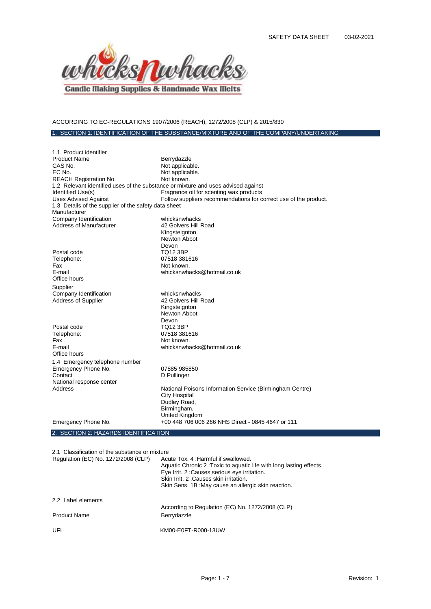

# ACCORDING TO EC-REGULATIONS 1907/2006 (REACH), 1272/2008 (CLP) & 2015/830

## 1. SECTION 1: IDENTIFICATION OF THE SUBSTANCE/MIXTURE AND OF THE COMPANY/UNDERTAKING

| 1.1 Product identifier                                                            |                                                                  |
|-----------------------------------------------------------------------------------|------------------------------------------------------------------|
| <b>Product Name</b>                                                               | Berrydazzle                                                      |
| CAS No.                                                                           | Not applicable.                                                  |
| EC No.                                                                            | Not applicable.                                                  |
| <b>REACH Registration No.</b>                                                     | Not known.                                                       |
| 1.2 Relevant identified uses of the substance or mixture and uses advised against |                                                                  |
| Identified Use(s)                                                                 | Fragrance oil for scenting wax products                          |
| <b>Uses Advised Against</b>                                                       | Follow suppliers recommendations for correct use of the product. |
| 1.3 Details of the supplier of the safety data sheet                              |                                                                  |
| Manufacturer                                                                      |                                                                  |
| Company Identification                                                            | whicksnwhacks                                                    |
| Address of Manufacturer                                                           | 42 Golvers Hill Road                                             |
|                                                                                   | Kingsteignton                                                    |
|                                                                                   | Newton Abbot                                                     |
|                                                                                   | Devon                                                            |
| Postal code                                                                       | <b>TQ12 3BP</b>                                                  |
| Telephone:                                                                        | 07518 381616                                                     |
| Fax                                                                               | Not known.                                                       |
| E-mail                                                                            | whicksnwhacks@hotmail.co.uk                                      |
| Office hours                                                                      |                                                                  |
| Supplier                                                                          |                                                                  |
| Company Identification                                                            | whicksnwhacks                                                    |
| <b>Address of Supplier</b>                                                        | 42 Golvers Hill Road                                             |
|                                                                                   | Kingsteignton                                                    |
|                                                                                   | Newton Abbot                                                     |
|                                                                                   | Devon                                                            |
| Postal code                                                                       | TQ12 3BP                                                         |
| Telephone:                                                                        | 07518 381616                                                     |
| Fax                                                                               | Not known.                                                       |
| E-mail                                                                            | whicksnwhacks@hotmail.co.uk                                      |
| Office hours                                                                      |                                                                  |
| 1.4 Emergency telephone number                                                    |                                                                  |
| Emergency Phone No.                                                               | 07885 985850                                                     |
| Contact                                                                           | D Pullinger                                                      |
| National response center                                                          |                                                                  |
| Address                                                                           | National Poisons Information Service (Birmingham Centre)         |
|                                                                                   | <b>City Hospital</b>                                             |
|                                                                                   | Dudley Road,                                                     |
|                                                                                   | Birmingham,                                                      |
|                                                                                   | United Kingdom                                                   |
| Emergency Phone No.                                                               | +00 448 706 006 266 NHS Direct - 0845 4647 or 111                |
| 2. SECTION 2: HAZARDS IDENTIFICATION                                              |                                                                  |

2.1 Classification of the substance or mixture

| Regulation (EC) No. 1272/2008 (CLP) | Acute Tox, 4: Harmful if swallowed.<br>Aquatic Chronic 2: Toxic to aquatic life with long lasting effects.<br>Eye Irrit. 2: Causes serious eye irritation.<br>Skin Irrit. 2: Causes skin irritation.<br>Skin Sens. 1B : May cause an allergic skin reaction. |
|-------------------------------------|--------------------------------------------------------------------------------------------------------------------------------------------------------------------------------------------------------------------------------------------------------------|
| 2.2 Label elements                  | According to Regulation (EC) No. 1272/2008 (CLP)                                                                                                                                                                                                             |
| <b>Product Name</b>                 | Berrydazzle                                                                                                                                                                                                                                                  |
| UFI                                 | KM00-E0FT-R000-13UW                                                                                                                                                                                                                                          |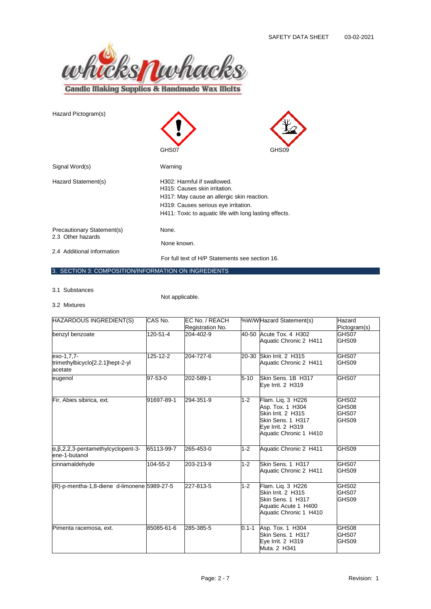

| Hazard Pictogram(s)                             | GHS07                                                                                                                                                                                                        | GHS09 |
|-------------------------------------------------|--------------------------------------------------------------------------------------------------------------------------------------------------------------------------------------------------------------|-------|
| Signal Word(s)                                  | Warning                                                                                                                                                                                                      |       |
| Hazard Statement(s)                             | H302: Harmful if swallowed.<br>H315: Causes skin irritation.<br>H317: May cause an allergic skin reaction.<br>H319: Causes serious eye irritation.<br>H411: Toxic to aquatic life with long lasting effects. |       |
| Precautionary Statement(s)<br>2.3 Other hazards | None.<br>None known.                                                                                                                                                                                         |       |
| 2.4 Additional Information                      | For full text of H/P Statements see section 16.                                                                                                                                                              |       |

## 3. SECTION 3: COMPOSITION/INFORMATION ON INGREDIENTS

3.1 Substances

Not applicable.

3.2 Mixtures

| HAZARDOUS INGREDIENT(S)                                                        | CAS No.    | EC No. / REACH<br>Registration No. |           | %W/W Hazard Statement(s)                                                                                                        | Hazard<br>Pictogram(s)           |
|--------------------------------------------------------------------------------|------------|------------------------------------|-----------|---------------------------------------------------------------------------------------------------------------------------------|----------------------------------|
| benzyl benzoate                                                                | 120-51-4   | 204-402-9                          |           | 40-50 Acute Tox, 4 H302<br>Aquatic Chronic 2 H411                                                                               | GHS07<br>GHS09                   |
| exo-1,7,7-<br>trimethylbicyclo[2.2.1]hept-2-yl<br>acetate                      | 125-12-2   | 204-727-6                          | 20-30     | Skin Irrit. 2 H315<br>Aquatic Chronic 2 H411                                                                                    | GHS07<br>GHS09                   |
| eugenol                                                                        | 97-53-0    | 202-589-1                          | $5 - 10$  | Skin Sens. 1B H317<br>Eve Irrit. 2 H319                                                                                         | GHS07                            |
| Fir, Abies sibirica, ext.                                                      | 91697-89-1 | 294-351-9                          | $1 - 2$   | Flam. Lig. 3 H226<br>Asp. Tox. 1 H304<br>Skin Irrit. 2 H315<br>Skin Sens. 1 H317<br>Eye Irrit. 2 H319<br>Aquatic Chronic 1 H410 | GHS02<br>GHS08<br>GHS07<br>GHS09 |
| $\alpha$ , $\beta$ , $2$ , $2$ , $3$ -pentamethylcyclopent-3-<br>ene-1-butanol | 65113-99-7 | 265-453-0                          | $1 - 2$   | Aquatic Chronic 2 H411                                                                                                          | GHS09                            |
| cinnamaldehyde                                                                 | 104-55-2   | 203-213-9                          | $1 - 2$   | Skin Sens, 1 H317<br>Aquatic Chronic 2 H411                                                                                     | GHS07<br>GHS09                   |
| (R)-p-mentha-1,8-diene d-limonene 5989-27-5                                    |            | 227-813-5                          | $1 - 2$   | Flam. Liq. 3 H226<br>Skin Irrit. 2 H315<br>Skin Sens. 1 H317<br>Aquatic Acute 1 H400<br>Aquatic Chronic 1 H410                  | GHS02<br>GHS07<br>GHS09          |
| Pimenta racemosa, ext.                                                         | 85085-61-6 | 285-385-5                          | $0.1 - 1$ | Asp. Tox. 1 H304<br>Skin Sens. 1 H317<br>Eye Irrit. 2 H319<br>Muta. 2 H341                                                      | GHS08<br>GHS07<br>GHS09          |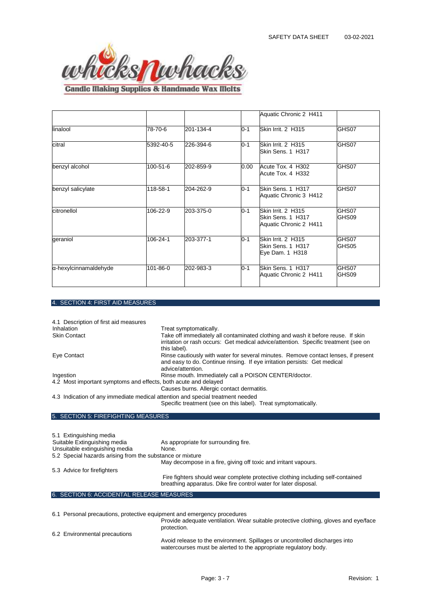

**Candle Making Supplies & Handmade Wax Melts** 

|                       |           |           |         | Aquatic Chronic 2 H411                                            |                |
|-----------------------|-----------|-----------|---------|-------------------------------------------------------------------|----------------|
| linalool              | 78-70-6   | 201-134-4 | $0 - 1$ | Skin Irrit. 2 H315                                                | GHS07          |
| citral                | 5392-40-5 | 226-394-6 | $0 - 1$ | Skin Irrit. 2 H315<br>Skin Sens. 1 H317                           | GHS07          |
| benzyl alcohol        | 100-51-6  | 202-859-9 | 0.00    | Acute Tox. 4 H302<br>Acute Tox. 4 H332                            | GHS07          |
| benzyl salicylate     | 118-58-1  | 204-262-9 | $0 - 1$ | Skin Sens. 1 H317<br>Aquatic Chronic 3 H412                       | GHS07          |
| citronellol           | 106-22-9  | 203-375-0 | $0 - 1$ | Skin Irrit. 2 H315<br>Skin Sens. 1 H317<br>Aquatic Chronic 2 H411 | GHS07<br>GHS09 |
| geraniol              | 106-24-1  | 203-377-1 | $0 - 1$ | Skin Irrit. 2 H315<br>Skin Sens. 1 H317<br>Eye Dam. 1 H318        | GHS07<br>GHS05 |
| α-hexylcinnamaldehyde | 101-86-0  | 202-983-3 | $0 - 1$ | Skin Sens. 1 H317<br>Aquatic Chronic 2 H411                       | GHS07<br>GHS09 |

## 4. SECTION 4: FIRST AID MEASURES

| 4.1 Description of first aid measures                                                                         |                                                                                                                                                                                         |  |
|---------------------------------------------------------------------------------------------------------------|-----------------------------------------------------------------------------------------------------------------------------------------------------------------------------------------|--|
| Inhalation                                                                                                    | Treat symptomatically.                                                                                                                                                                  |  |
| <b>Skin Contact</b>                                                                                           | Take off immediately all contaminated clothing and wash it before reuse. If skin<br>irritation or rash occurs: Get medical advice/attention. Specific treatment (see on<br>this label). |  |
| Eye Contact                                                                                                   | Rinse cautiously with water for several minutes. Remove contact lenses, if present<br>and easy to do. Continue rinsing. If eye irritation persists: Get medical<br>advice/attention.    |  |
| Ingestion                                                                                                     | Rinse mouth. Immediately call a POISON CENTER/doctor.                                                                                                                                   |  |
| 4.2 Most important symptoms and effects, both acute and delayed<br>Causes burns. Allergic contact dermatitis. |                                                                                                                                                                                         |  |
| 4.3 Indication of any immediate medical attention and special treatment needed                                |                                                                                                                                                                                         |  |
|                                                                                                               | Specific treatment (see on this label). Treat symptomatically.                                                                                                                          |  |

### 5. SECTION 5: FIREFIGHTING MEASURES

| 5.1 Extinguishing media                                   |                                                                                                                                                     |  |
|-----------------------------------------------------------|-----------------------------------------------------------------------------------------------------------------------------------------------------|--|
| Suitable Extinguishing media                              | As appropriate for surrounding fire.                                                                                                                |  |
| Unsuitable extinguishing media                            | None.                                                                                                                                               |  |
| 5.2 Special hazards arising from the substance or mixture |                                                                                                                                                     |  |
|                                                           | May decompose in a fire, giving off toxic and irritant vapours.                                                                                     |  |
| 5.3 Advice for firefighters                               |                                                                                                                                                     |  |
|                                                           | Fire fighters should wear complete protective clothing including self-contained<br>breathing apparatus. Dike fire control water for later disposal. |  |

# 6. SECTION 6: ACCIDENTAL RELEASE MEASURES

6.1 Personal precautions, protective equipment and emergency procedures

| 6.2 Environmental precautions | Provide adequate ventilation. Wear suitable protective clothing, gloves and eve/face<br>protection.                                             |
|-------------------------------|-------------------------------------------------------------------------------------------------------------------------------------------------|
|                               | Avoid release to the environment. Spillages or uncontrolled discharges into<br>watercourses must be alerted to the appropriate regulatory body. |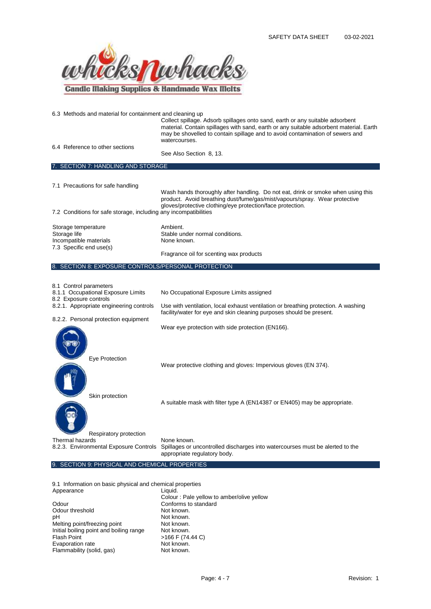

| 6.3 Methods and material for containment and cleaning up                                                                         | Collect spillage. Adsorb spillages onto sand, earth or any suitable adsorbent<br>material. Contain spillages with sand, earth or any suitable adsorbent material. Earth<br>may be shovelled to contain spillage and to avoid contamination of sewers and<br>watercourses. |
|----------------------------------------------------------------------------------------------------------------------------------|---------------------------------------------------------------------------------------------------------------------------------------------------------------------------------------------------------------------------------------------------------------------------|
| 6.4 Reference to other sections                                                                                                  | See Also Section 8, 13.                                                                                                                                                                                                                                                   |
| 7. SECTION 7: HANDLING AND STORAGE                                                                                               |                                                                                                                                                                                                                                                                           |
| 7.1 Precautions for safe handling                                                                                                | Wash hands thoroughly after handling. Do not eat, drink or smoke when using this<br>product. Avoid breathing dust/fume/gas/mist/vapours/spray. Wear protective<br>gloves/protective clothing/eye protection/face protection.                                              |
| 7.2 Conditions for safe storage, including any incompatibilities                                                                 |                                                                                                                                                                                                                                                                           |
| Storage temperature<br>Storage life<br>Incompatible materials<br>7.3 Specific end use(s)                                         | Ambient.<br>Stable under normal conditions.<br>None known.                                                                                                                                                                                                                |
|                                                                                                                                  | Fragrance oil for scenting wax products                                                                                                                                                                                                                                   |
| 8. SECTION 8: EXPOSURE CONTROLS/PERSONAL PROTECTION                                                                              |                                                                                                                                                                                                                                                                           |
| 8.1 Control parameters<br>8.1.1 Occupational Exposure Limits<br>8.2 Exposure controls<br>8.2.1. Appropriate engineering controls | No Occupational Exposure Limits assigned<br>Use with ventilation, local exhaust ventilation or breathing protection. A washing                                                                                                                                            |
|                                                                                                                                  | facility/water for eye and skin cleaning purposes should be present.                                                                                                                                                                                                      |
| 8.2.2. Personal protection equipment                                                                                             | Wear eye protection with side protection (EN166).                                                                                                                                                                                                                         |
| Eye Protection                                                                                                                   | Wear protective clothing and gloves: Impervious gloves (EN 374).                                                                                                                                                                                                          |
| Skin protection                                                                                                                  | A suitable mask with filter type A (EN14387 or EN405) may be appropriate.                                                                                                                                                                                                 |
| Respiratory protection<br>Thermal hazards                                                                                        | None known.<br>8.2.3. Environmental Exposure Controls Spillages or uncontrolled discharges into watercourses must be alerted to the<br>appropriate regulatory body.                                                                                                       |

9. SECTION 9: PHYSICAL AND CHEMICAL PROPERTIES

9.1 Information on basic physical and chemical properties Appearance Liquid.

|                                         | Colour: Pale yellow to amber/olive yellow |
|-----------------------------------------|-------------------------------------------|
| Odour                                   | Conforms to standard                      |
| Odour threshold                         | Not known.                                |
| pH                                      | Not known.                                |
| Melting point/freezing point            | Not known.                                |
| Initial boiling point and boiling range | Not known.                                |
| <b>Flash Point</b>                      | >166 F (74.44 C)                          |
| Evaporation rate                        | Not known.                                |
| Flammability (solid, gas)               | Not known.                                |
|                                         |                                           |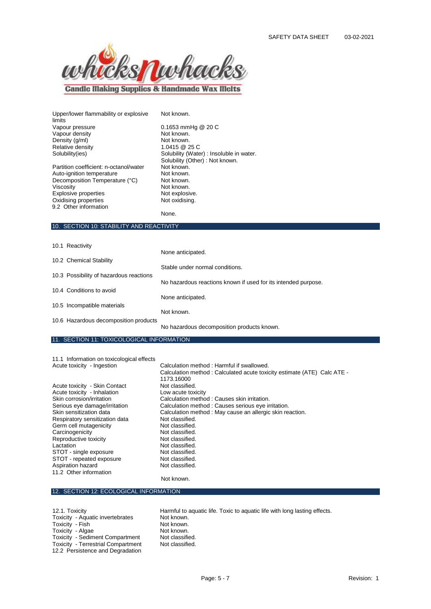

**Candle Making Supplies & Handmade Wax Melts** 

Upper/lower flammability or explosive limits<br>Vapour pressure Vapour density **Not known.**<br>
Density (g/ml) **Not known.** Density (g/ml)<br>
Relative density<br>
1.0415 @ 25 C Relative density<br>Solubility(ies) Partition coefficient: n-octanol/water

Auto-ignition temperature **Not known.**<br>
Decomposition Temperature (°C) Not known Decomposition Temperature (°C)<br>Viscosity Explosive properties Oxidising properties Not oxidising. 9.2 Other information

Not known.

 $0.1653$  mmHg  $@$  20 C<br>Not known. Solubility (Water) : Insoluble in water. Solubility (Other) : Not known.<br>Not known. Not known.<br>Not explosive. None.

#### 10. SECTION 10: STABILITY AND REACTIVITY

| 10.1 Reactivity                         |                                                                |
|-----------------------------------------|----------------------------------------------------------------|
|                                         | None anticipated.                                              |
| 10.2 Chemical Stability                 |                                                                |
|                                         | Stable under normal conditions.                                |
| 10.3 Possibility of hazardous reactions |                                                                |
|                                         | No hazardous reactions known if used for its intended purpose. |
| 10.4 Conditions to avoid                |                                                                |
|                                         | None anticipated.                                              |
| 10.5 Incompatible materials             | Not known.                                                     |
|                                         |                                                                |
| 10.6 Hazardous decomposition products   | No hazardous decomposition products known.                     |
|                                         |                                                                |

#### 11. SECTION 11: TOXICOLOGICAL INFORMATION

11.1 Information on toxicological effects<br>Acute toxicity - Ingestion

Acute toxicity - Skin Contact Not classified.<br>
Acute toxicity - Inhalation Low acute toxicity Acute toxicity - Inhalation<br>Skin corrosion/irritation Respiratory sensitization data **Not classified.**<br>Germ cell mutagenicity **Not classified.** Germ cell mutagenicity **Not classified.**<br>
Carcinogenicity **Not classified.** Carcinogenicity (Not classified.<br>
Reproductive toxicity (Not classified. Reproductive toxicity Lactation **Not classified**. STOT - single exposure Not classified.<br>STOT - repeated exposure Not classified. STOT - repeated exposure Mot classified.<br>Aspiration hazard Not classified. Aspiration hazard 11.2 Other information

Calculation method : Harmful if swallowed. Calculation method : Calculated acute toxicity estimate (ATE) Calc ATE - 1173.16000<br>Not classified. Calculation method : Causes skin irritation. Serious eye damage/irritation Calculation method : Causes serious eye irritation.<br>
Skin sensitization data Calculation method : May cause an allergic skin re Calculation method : May cause an allergic skin reaction.<br>Not classified.

Not known.

### 12. SECTION 12: ECOLOGICAL INFORMATION

Toxicity - Aquatic invertebrates Not known.<br>Toxicity - Fish Not known. Toxicity - Fish Not known.<br>
Toxicity - Algae Not known. Toxicity - Algae Toxicity - Sediment Compartment Mot classified.<br>
Toxicity - Terrestrial Compartment Not classified. Toxicity - Terrestrial Compartment 12.2 Persistence and Degradation

12.1. Toxicity discreption of the Harmful to aquatic life. Toxic to aquatic life with long lasting effects.<br>Toxicity - Aquatic invertebrates Mot known.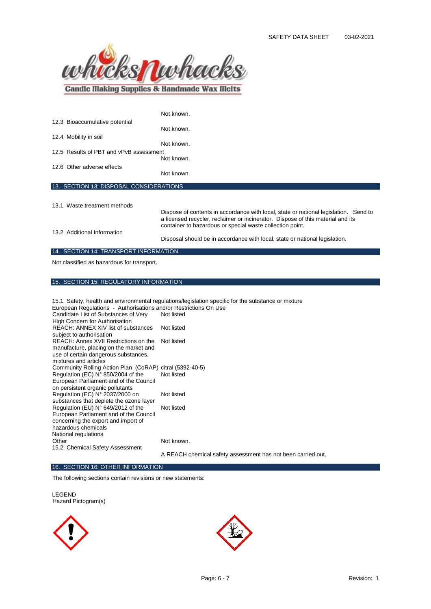

|                                         | Not known.                                                                                                                                                                                                                           |
|-----------------------------------------|--------------------------------------------------------------------------------------------------------------------------------------------------------------------------------------------------------------------------------------|
| 12.3 Bioaccumulative potential          |                                                                                                                                                                                                                                      |
|                                         | Not known.                                                                                                                                                                                                                           |
| 12.4 Mobility in soil                   | Not known.                                                                                                                                                                                                                           |
| 12.5 Results of PBT and vPvB assessment |                                                                                                                                                                                                                                      |
|                                         | Not known.                                                                                                                                                                                                                           |
| 12.6 Other adverse effects              |                                                                                                                                                                                                                                      |
|                                         | Not known.                                                                                                                                                                                                                           |
| 13. SECTION 13: DISPOSAL CONSIDERATIONS |                                                                                                                                                                                                                                      |
|                                         |                                                                                                                                                                                                                                      |
| 13.1 Waste treatment methods            |                                                                                                                                                                                                                                      |
|                                         | Dispose of contents in accordance with local, state or national legislation. Send to<br>a licensed recycler, reclaimer or incinerator. Dispose of this material and its<br>container to hazardous or special waste collection point. |
| 13.2 Additional Information             | Disposal should be in accordance with local, state or national legislation.                                                                                                                                                          |
| 14. SECTION 14: TRANSPORT INFORMATION   |                                                                                                                                                                                                                                      |

Not classified as hazardous for transport.

# 15. SECTION 15: REGULATORY INFORMATION

|                                                                                 | 15.1 Safety, health and environmental regulations/legislation specific for the substance or mixture |
|---------------------------------------------------------------------------------|-----------------------------------------------------------------------------------------------------|
| European Regulations - Authorisations and/or Restrictions On Use                |                                                                                                     |
| Candidate List of Substances of Very<br>High Concern for Authorisation          | Not listed                                                                                          |
| REACH: ANNEX XIV list of substances<br>subject to authorisation                 | Not listed                                                                                          |
| REACH: Annex XVII Restrictions on the<br>manufacture, placing on the market and | Not listed                                                                                          |
| use of certain dangerous substances,<br>mixtures and articles                   |                                                                                                     |
| Community Rolling Action Plan (CoRAP) citral (5392-40-5)                        |                                                                                                     |
| Regulation (EC) N° 850/2004 of the                                              | Not listed                                                                                          |
| European Parliament and of the Council                                          |                                                                                                     |
| on persistent organic pollutants                                                |                                                                                                     |
| Regulation (EC) N° 2037/2000 on                                                 | Not listed                                                                                          |
| substances that deplete the ozone layer                                         |                                                                                                     |
| Regulation (EU) N° 649/2012 of the                                              | Not listed                                                                                          |
| European Parliament and of the Council                                          |                                                                                                     |
| concerning the export and import of                                             |                                                                                                     |
| hazardous chemicals                                                             |                                                                                                     |
| National regulations                                                            |                                                                                                     |
| Other                                                                           | Not known.                                                                                          |
| 15.2 Chemical Safety Assessment                                                 |                                                                                                     |
|                                                                                 | A REACH chemical safety assessment has not been carried out.                                        |

### 16. SECTION 16: OTHER INFORMATION

The following sections contain revisions or new statements:

LEGEND Hazard Pictogram(s)